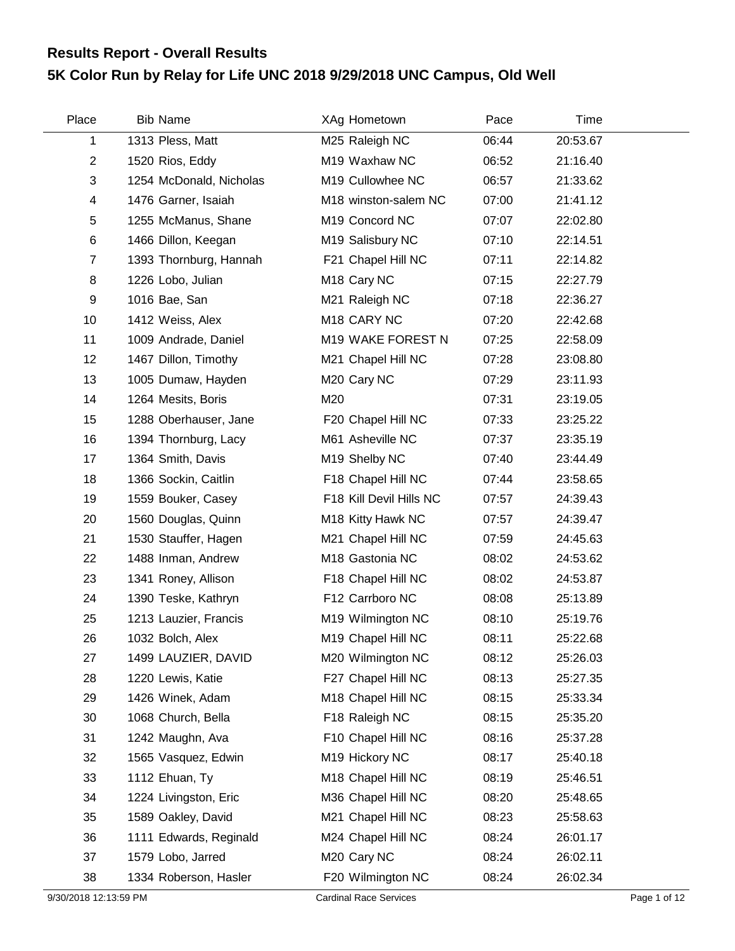## **5K Color Run by Relay for Life UNC 2018 9/29/2018 UNC Campus, Old Well Results Report - Overall Results**

| Place                   | <b>Bib Name</b>         | XAg Hometown              | Pace  | Time     |  |
|-------------------------|-------------------------|---------------------------|-------|----------|--|
| 1                       | 1313 Pless, Matt        | M25 Raleigh NC            | 06:44 | 20:53.67 |  |
| $\overline{2}$          | 1520 Rios, Eddy         | M19 Waxhaw NC             | 06:52 | 21:16.40 |  |
| 3                       | 1254 McDonald, Nicholas | M19 Cullowhee NC          | 06:57 | 21:33.62 |  |
| $\overline{\mathbf{4}}$ | 1476 Garner, Isaiah     | M18 winston-salem NC      | 07:00 | 21:41.12 |  |
| 5                       | 1255 McManus, Shane     | M19 Concord NC            | 07:07 | 22:02.80 |  |
| 6                       | 1466 Dillon, Keegan     | M19 Salisbury NC          | 07:10 | 22:14.51 |  |
| $\overline{7}$          | 1393 Thornburg, Hannah  | F21 Chapel Hill NC        | 07:11 | 22:14.82 |  |
| 8                       | 1226 Lobo, Julian       | M <sub>18</sub> Cary NC   | 07:15 | 22:27.79 |  |
| 9                       | 1016 Bae, San           | M21 Raleigh NC            | 07:18 | 22:36.27 |  |
| 10                      | 1412 Weiss, Alex        | M18 CARY NC               | 07:20 | 22:42.68 |  |
| 11                      | 1009 Andrade, Daniel    | M19 WAKE FOREST N         | 07:25 | 22:58.09 |  |
| 12                      | 1467 Dillon, Timothy    | M21 Chapel Hill NC        | 07:28 | 23:08.80 |  |
| 13                      | 1005 Dumaw, Hayden      | M20 Cary NC               | 07:29 | 23:11.93 |  |
| 14                      | 1264 Mesits, Boris      | M20                       | 07:31 | 23:19.05 |  |
| 15                      | 1288 Oberhauser, Jane   | F20 Chapel Hill NC        | 07:33 | 23:25.22 |  |
| 16                      | 1394 Thornburg, Lacy    | M61 Asheville NC          | 07:37 | 23:35.19 |  |
| 17                      | 1364 Smith, Davis       | M <sub>19</sub> Shelby NC | 07:40 | 23:44.49 |  |
| 18                      | 1366 Sockin, Caitlin    | F18 Chapel Hill NC        | 07:44 | 23:58.65 |  |
| 19                      | 1559 Bouker, Casey      | F18 Kill Devil Hills NC   | 07:57 | 24:39.43 |  |
| 20                      | 1560 Douglas, Quinn     | M18 Kitty Hawk NC         | 07:57 | 24:39.47 |  |
| 21                      | 1530 Stauffer, Hagen    | M21 Chapel Hill NC        | 07:59 | 24:45.63 |  |
| 22                      | 1488 Inman, Andrew      | M18 Gastonia NC           | 08:02 | 24:53.62 |  |
| 23                      | 1341 Roney, Allison     | F18 Chapel Hill NC        | 08:02 | 24:53.87 |  |
| 24                      | 1390 Teske, Kathryn     | F12 Carrboro NC           | 08:08 | 25:13.89 |  |
| 25                      | 1213 Lauzier, Francis   | M19 Wilmington NC         | 08:10 | 25:19.76 |  |
| 26                      | 1032 Bolch, Alex        | M19 Chapel Hill NC        | 08:11 | 25:22.68 |  |
| 27                      | 1499 LAUZIER, DAVID     | M20 Wilmington NC         | 08:12 | 25:26.03 |  |
| 28                      | 1220 Lewis, Katie       | F27 Chapel Hill NC        | 08:13 | 25:27.35 |  |
| 29                      | 1426 Winek, Adam        | M18 Chapel Hill NC        | 08:15 | 25:33.34 |  |
| 30                      | 1068 Church, Bella      | F18 Raleigh NC            | 08:15 | 25:35.20 |  |
| 31                      | 1242 Maughn, Ava        | F10 Chapel Hill NC        | 08:16 | 25:37.28 |  |
| 32                      | 1565 Vasquez, Edwin     | M19 Hickory NC            | 08:17 | 25:40.18 |  |
| 33                      | 1112 Ehuan, Ty          | M18 Chapel Hill NC        | 08:19 | 25:46.51 |  |
| 34                      | 1224 Livingston, Eric   | M36 Chapel Hill NC        | 08:20 | 25:48.65 |  |
| 35                      | 1589 Oakley, David      | M21 Chapel Hill NC        | 08:23 | 25:58.63 |  |
| 36                      | 1111 Edwards, Reginald  | M24 Chapel Hill NC        | 08:24 | 26:01.17 |  |
| 37                      | 1579 Lobo, Jarred       | M20 Cary NC               | 08:24 | 26:02.11 |  |
| 38                      | 1334 Roberson, Hasler   | F20 Wilmington NC         | 08:24 | 26:02.34 |  |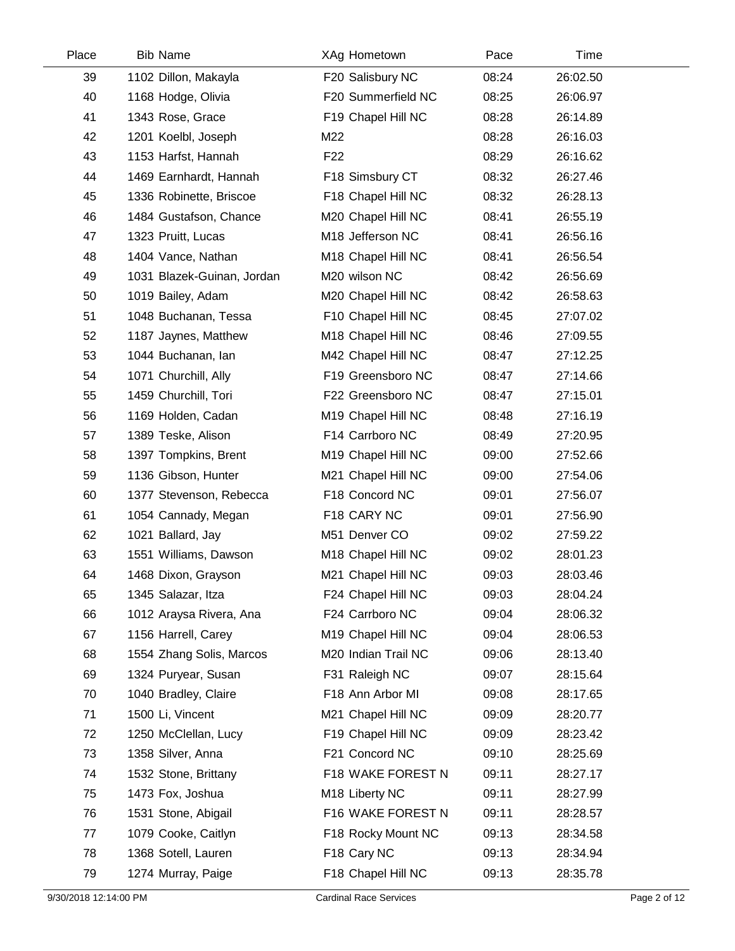| Place | <b>Bib Name</b>            | XAg Hometown        | Pace  | Time     |  |
|-------|----------------------------|---------------------|-------|----------|--|
| 39    | 1102 Dillon, Makayla       | F20 Salisbury NC    | 08:24 | 26:02.50 |  |
| 40    | 1168 Hodge, Olivia         | F20 Summerfield NC  | 08:25 | 26:06.97 |  |
| 41    | 1343 Rose, Grace           | F19 Chapel Hill NC  | 08:28 | 26:14.89 |  |
| 42    | 1201 Koelbl, Joseph        | M22                 | 08:28 | 26:16.03 |  |
| 43    | 1153 Harfst, Hannah        | F <sub>22</sub>     | 08:29 | 26:16.62 |  |
| 44    | 1469 Earnhardt, Hannah     | F18 Simsbury CT     | 08:32 | 26:27.46 |  |
| 45    | 1336 Robinette, Briscoe    | F18 Chapel Hill NC  | 08:32 | 26:28.13 |  |
| 46    | 1484 Gustafson, Chance     | M20 Chapel Hill NC  | 08:41 | 26:55.19 |  |
| 47    | 1323 Pruitt, Lucas         | M18 Jefferson NC    | 08:41 | 26:56.16 |  |
| 48    | 1404 Vance, Nathan         | M18 Chapel Hill NC  | 08:41 | 26:56.54 |  |
| 49    | 1031 Blazek-Guinan, Jordan | M20 wilson NC       | 08:42 | 26:56.69 |  |
| 50    | 1019 Bailey, Adam          | M20 Chapel Hill NC  | 08:42 | 26:58.63 |  |
| 51    | 1048 Buchanan, Tessa       | F10 Chapel Hill NC  | 08:45 | 27:07.02 |  |
| 52    | 1187 Jaynes, Matthew       | M18 Chapel Hill NC  | 08:46 | 27:09.55 |  |
| 53    | 1044 Buchanan, lan         | M42 Chapel Hill NC  | 08:47 | 27:12.25 |  |
| 54    | 1071 Churchill, Ally       | F19 Greensboro NC   | 08:47 | 27:14.66 |  |
| 55    | 1459 Churchill, Tori       | F22 Greensboro NC   | 08:47 | 27:15.01 |  |
| 56    | 1169 Holden, Cadan         | M19 Chapel Hill NC  | 08:48 | 27:16.19 |  |
| 57    | 1389 Teske, Alison         | F14 Carrboro NC     | 08:49 | 27:20.95 |  |
| 58    | 1397 Tompkins, Brent       | M19 Chapel Hill NC  | 09:00 | 27:52.66 |  |
| 59    | 1136 Gibson, Hunter        | M21 Chapel Hill NC  | 09:00 | 27:54.06 |  |
| 60    | 1377 Stevenson, Rebecca    | F18 Concord NC      | 09:01 | 27:56.07 |  |
| 61    | 1054 Cannady, Megan        | F18 CARY NC         | 09:01 | 27:56.90 |  |
| 62    | 1021 Ballard, Jay          | M51 Denver CO       | 09:02 | 27:59.22 |  |
| 63    | 1551 Williams, Dawson      | M18 Chapel Hill NC  | 09:02 | 28:01.23 |  |
| 64    | 1468 Dixon, Grayson        | M21 Chapel Hill NC  | 09:03 | 28:03.46 |  |
| 65    | 1345 Salazar, Itza         | F24 Chapel Hill NC  | 09:03 | 28:04.24 |  |
| 66    | 1012 Araysa Rivera, Ana    | F24 Carrboro NC     | 09:04 | 28:06.32 |  |
| 67    | 1156 Harrell, Carey        | M19 Chapel Hill NC  | 09:04 | 28:06.53 |  |
| 68    | 1554 Zhang Solis, Marcos   | M20 Indian Trail NC | 09:06 | 28:13.40 |  |
| 69    | 1324 Puryear, Susan        | F31 Raleigh NC      | 09:07 | 28:15.64 |  |
| 70    | 1040 Bradley, Claire       | F18 Ann Arbor MI    | 09:08 | 28:17.65 |  |
| 71    | 1500 Li, Vincent           | M21 Chapel Hill NC  | 09:09 | 28:20.77 |  |
| 72    | 1250 McClellan, Lucy       | F19 Chapel Hill NC  | 09:09 | 28:23.42 |  |
| 73    | 1358 Silver, Anna          | F21 Concord NC      | 09:10 | 28:25.69 |  |
| 74    | 1532 Stone, Brittany       | F18 WAKE FOREST N   | 09:11 | 28:27.17 |  |
| 75    | 1473 Fox, Joshua           | M18 Liberty NC      | 09:11 | 28:27.99 |  |
| 76    | 1531 Stone, Abigail        | F16 WAKE FOREST N   | 09:11 | 28:28.57 |  |
| 77    | 1079 Cooke, Caitlyn        | F18 Rocky Mount NC  | 09:13 | 28:34.58 |  |
| 78    | 1368 Sotell, Lauren        | F18 Cary NC         | 09:13 | 28:34.94 |  |
| 79    | 1274 Murray, Paige         | F18 Chapel Hill NC  | 09:13 | 28:35.78 |  |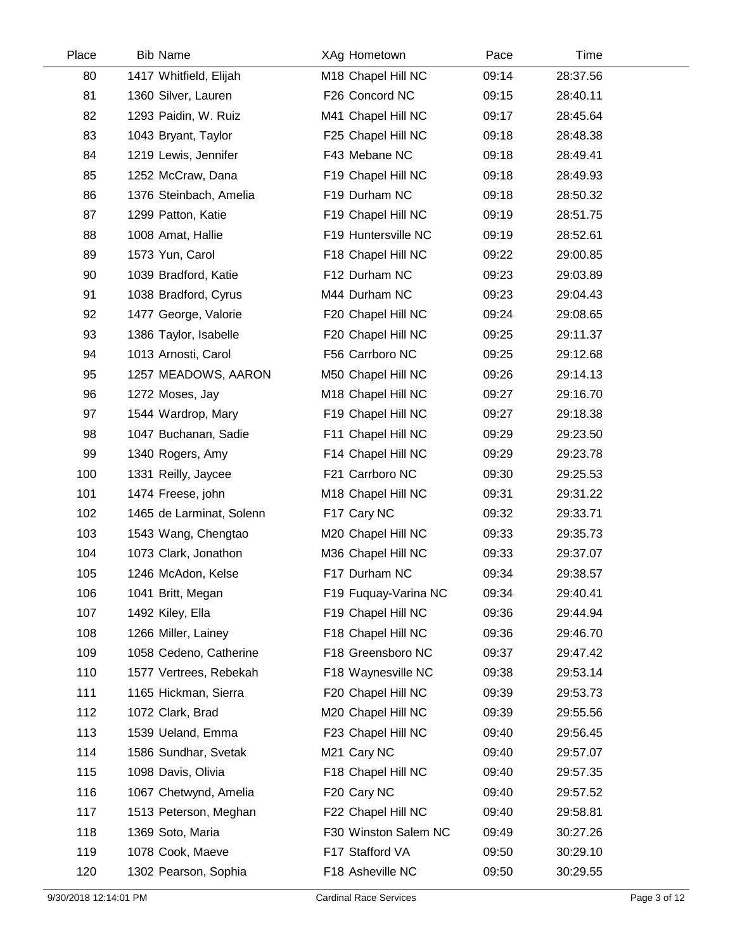| Place | <b>Bib Name</b>          | XAg Hometown         | Pace  | Time     |  |
|-------|--------------------------|----------------------|-------|----------|--|
| 80    | 1417 Whitfield, Elijah   | M18 Chapel Hill NC   | 09:14 | 28:37.56 |  |
| 81    | 1360 Silver, Lauren      | F26 Concord NC       | 09:15 | 28:40.11 |  |
| 82    | 1293 Paidin, W. Ruiz     | M41 Chapel Hill NC   | 09:17 | 28:45.64 |  |
| 83    | 1043 Bryant, Taylor      | F25 Chapel Hill NC   | 09:18 | 28:48.38 |  |
| 84    | 1219 Lewis, Jennifer     | F43 Mebane NC        | 09:18 | 28:49.41 |  |
| 85    | 1252 McCraw, Dana        | F19 Chapel Hill NC   | 09:18 | 28:49.93 |  |
| 86    | 1376 Steinbach, Amelia   | F19 Durham NC        | 09:18 | 28:50.32 |  |
| 87    | 1299 Patton, Katie       | F19 Chapel Hill NC   | 09:19 | 28:51.75 |  |
| 88    | 1008 Amat, Hallie        | F19 Huntersville NC  | 09:19 | 28:52.61 |  |
| 89    | 1573 Yun, Carol          | F18 Chapel Hill NC   | 09:22 | 29:00.85 |  |
| 90    | 1039 Bradford, Katie     | F12 Durham NC        | 09:23 | 29:03.89 |  |
| 91    | 1038 Bradford, Cyrus     | M44 Durham NC        | 09:23 | 29:04.43 |  |
| 92    | 1477 George, Valorie     | F20 Chapel Hill NC   | 09:24 | 29:08.65 |  |
| 93    | 1386 Taylor, Isabelle    | F20 Chapel Hill NC   | 09:25 | 29:11.37 |  |
| 94    | 1013 Arnosti, Carol      | F56 Carrboro NC      | 09:25 | 29:12.68 |  |
| 95    | 1257 MEADOWS, AARON      | M50 Chapel Hill NC   | 09:26 | 29:14.13 |  |
| 96    | 1272 Moses, Jay          | M18 Chapel Hill NC   | 09:27 | 29:16.70 |  |
| 97    | 1544 Wardrop, Mary       | F19 Chapel Hill NC   | 09:27 | 29:18.38 |  |
| 98    | 1047 Buchanan, Sadie     | F11 Chapel Hill NC   | 09:29 | 29:23.50 |  |
| 99    | 1340 Rogers, Amy         | F14 Chapel Hill NC   | 09:29 | 29:23.78 |  |
| 100   | 1331 Reilly, Jaycee      | F21 Carrboro NC      | 09:30 | 29:25.53 |  |
| 101   | 1474 Freese, john        | M18 Chapel Hill NC   | 09:31 | 29:31.22 |  |
| 102   | 1465 de Larminat, Solenn | F17 Cary NC          | 09:32 | 29:33.71 |  |
| 103   | 1543 Wang, Chengtao      | M20 Chapel Hill NC   | 09:33 | 29:35.73 |  |
| 104   | 1073 Clark, Jonathon     | M36 Chapel Hill NC   | 09:33 | 29:37.07 |  |
| 105   | 1246 McAdon, Kelse       | F17 Durham NC        | 09:34 | 29:38.57 |  |
| 106   | 1041 Britt, Megan        | F19 Fuquay-Varina NC | 09:34 | 29:40.41 |  |
| 107   | 1492 Kiley, Ella         | F19 Chapel Hill NC   | 09:36 | 29:44.94 |  |
| 108   | 1266 Miller, Lainey      | F18 Chapel Hill NC   | 09:36 | 29:46.70 |  |
| 109   | 1058 Cedeno, Catherine   | F18 Greensboro NC    | 09:37 | 29:47.42 |  |
| 110   | 1577 Vertrees, Rebekah   | F18 Waynesville NC   | 09:38 | 29:53.14 |  |
| 111   | 1165 Hickman, Sierra     | F20 Chapel Hill NC   | 09:39 | 29:53.73 |  |
| 112   | 1072 Clark, Brad         | M20 Chapel Hill NC   | 09:39 | 29:55.56 |  |
| 113   | 1539 Ueland, Emma        | F23 Chapel Hill NC   | 09:40 | 29:56.45 |  |
| 114   | 1586 Sundhar, Svetak     | M21 Cary NC          | 09:40 | 29:57.07 |  |
| 115   | 1098 Davis, Olivia       | F18 Chapel Hill NC   | 09:40 | 29:57.35 |  |
| 116   | 1067 Chetwynd, Amelia    | F20 Cary NC          | 09:40 | 29:57.52 |  |
| 117   | 1513 Peterson, Meghan    | F22 Chapel Hill NC   | 09:40 | 29:58.81 |  |
| 118   | 1369 Soto, Maria         | F30 Winston Salem NC | 09:49 | 30:27.26 |  |
| 119   | 1078 Cook, Maeve         | F17 Stafford VA      | 09:50 | 30:29.10 |  |
| 120   | 1302 Pearson, Sophia     | F18 Asheville NC     | 09:50 | 30:29.55 |  |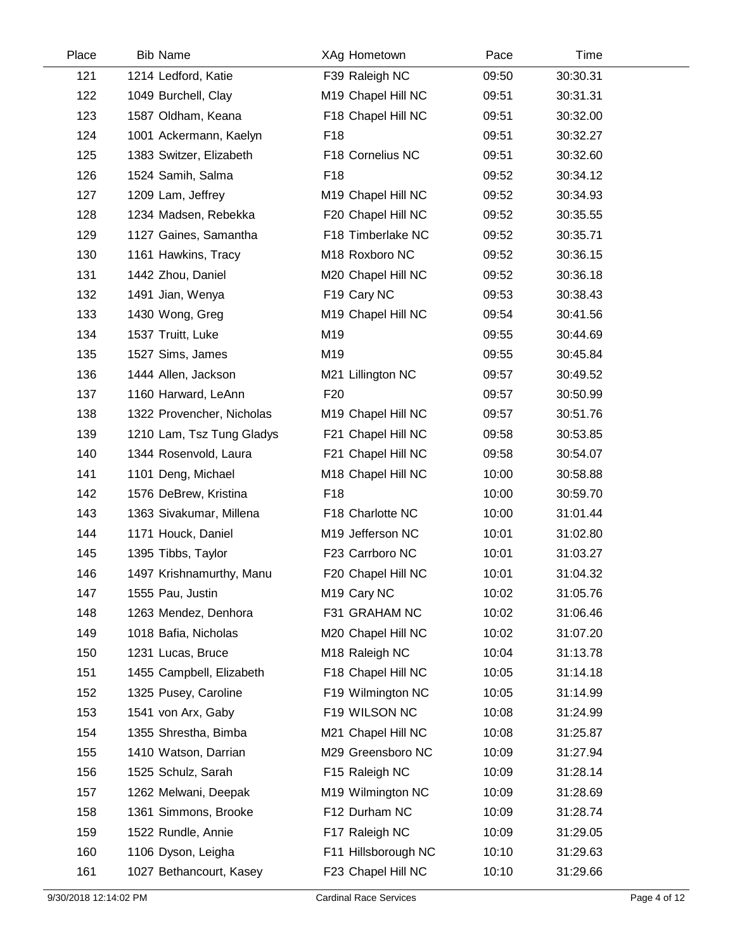| Place | <b>Bib Name</b>           | XAg Hometown            | Pace  | Time     |  |
|-------|---------------------------|-------------------------|-------|----------|--|
| 121   | 1214 Ledford, Katie       | F39 Raleigh NC          | 09:50 | 30:30.31 |  |
| 122   | 1049 Burchell, Clay       | M19 Chapel Hill NC      | 09:51 | 30:31.31 |  |
| 123   | 1587 Oldham, Keana        | F18 Chapel Hill NC      | 09:51 | 30:32.00 |  |
| 124   | 1001 Ackermann, Kaelyn    | F <sub>18</sub>         | 09:51 | 30:32.27 |  |
| 125   | 1383 Switzer, Elizabeth   | F18 Cornelius NC        | 09:51 | 30:32.60 |  |
| 126   | 1524 Samih, Salma         | F <sub>18</sub>         | 09:52 | 30:34.12 |  |
| 127   | 1209 Lam, Jeffrey         | M19 Chapel Hill NC      | 09:52 | 30:34.93 |  |
| 128   | 1234 Madsen, Rebekka      | F20 Chapel Hill NC      | 09:52 | 30:35.55 |  |
| 129   | 1127 Gaines, Samantha     | F18 Timberlake NC       | 09:52 | 30:35.71 |  |
| 130   | 1161 Hawkins, Tracy       | M18 Roxboro NC          | 09:52 | 30:36.15 |  |
| 131   | 1442 Zhou, Daniel         | M20 Chapel Hill NC      | 09:52 | 30:36.18 |  |
| 132   | 1491 Jian, Wenya          | F19 Cary NC             | 09:53 | 30:38.43 |  |
| 133   | 1430 Wong, Greg           | M19 Chapel Hill NC      | 09:54 | 30:41.56 |  |
| 134   | 1537 Truitt, Luke         | M19                     | 09:55 | 30:44.69 |  |
| 135   | 1527 Sims, James          | M19                     | 09:55 | 30:45.84 |  |
| 136   | 1444 Allen, Jackson       | M21 Lillington NC       | 09:57 | 30:49.52 |  |
| 137   | 1160 Harward, LeAnn       | F <sub>20</sub>         | 09:57 | 30:50.99 |  |
| 138   | 1322 Provencher, Nicholas | M19 Chapel Hill NC      | 09:57 | 30:51.76 |  |
| 139   | 1210 Lam, Tsz Tung Gladys | F21 Chapel Hill NC      | 09:58 | 30:53.85 |  |
| 140   | 1344 Rosenvold, Laura     | F21 Chapel Hill NC      | 09:58 | 30:54.07 |  |
| 141   | 1101 Deng, Michael        | M18 Chapel Hill NC      | 10:00 | 30:58.88 |  |
| 142   | 1576 DeBrew, Kristina     | F <sub>18</sub>         | 10:00 | 30:59.70 |  |
| 143   | 1363 Sivakumar, Millena   | F18 Charlotte NC        | 10:00 | 31:01.44 |  |
| 144   | 1171 Houck, Daniel        | M19 Jefferson NC        | 10:01 | 31:02.80 |  |
| 145   | 1395 Tibbs, Taylor        | F23 Carrboro NC         | 10:01 | 31:03.27 |  |
| 146   | 1497 Krishnamurthy, Manu  | F20 Chapel Hill NC      | 10:01 | 31:04.32 |  |
| 147   | 1555 Pau, Justin          | M <sub>19</sub> Cary NC | 10:02 | 31:05.76 |  |
| 148   | 1263 Mendez, Denhora      | F31 GRAHAM NC           | 10:02 | 31:06.46 |  |
| 149   | 1018 Bafia, Nicholas      | M20 Chapel Hill NC      | 10:02 | 31:07.20 |  |
| 150   | 1231 Lucas, Bruce         | M18 Raleigh NC          | 10:04 | 31:13.78 |  |
| 151   | 1455 Campbell, Elizabeth  | F18 Chapel Hill NC      | 10:05 | 31:14.18 |  |
| 152   | 1325 Pusey, Caroline      | F19 Wilmington NC       | 10:05 | 31:14.99 |  |
| 153   | 1541 von Arx, Gaby        | F19 WILSON NC           | 10:08 | 31:24.99 |  |
| 154   | 1355 Shrestha, Bimba      | M21 Chapel Hill NC      | 10:08 | 31:25.87 |  |
| 155   | 1410 Watson, Darrian      | M29 Greensboro NC       | 10:09 | 31:27.94 |  |
| 156   | 1525 Schulz, Sarah        | F15 Raleigh NC          | 10:09 | 31:28.14 |  |
| 157   | 1262 Melwani, Deepak      | M19 Wilmington NC       | 10:09 | 31:28.69 |  |
| 158   | 1361 Simmons, Brooke      | F12 Durham NC           | 10:09 | 31:28.74 |  |
| 159   | 1522 Rundle, Annie        | F17 Raleigh NC          | 10:09 | 31:29.05 |  |
| 160   | 1106 Dyson, Leigha        | F11 Hillsborough NC     | 10:10 | 31:29.63 |  |
| 161   | 1027 Bethancourt, Kasey   | F23 Chapel Hill NC      | 10:10 | 31:29.66 |  |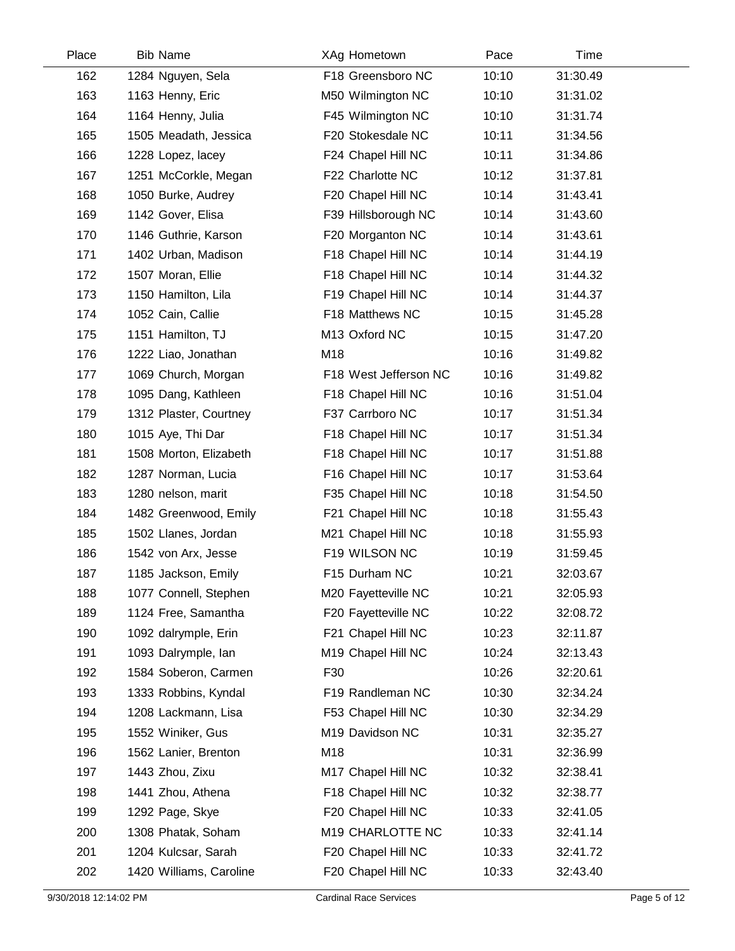| Place | <b>Bib Name</b>         | XAg Hometown          | Pace  | Time     |  |
|-------|-------------------------|-----------------------|-------|----------|--|
| 162   | 1284 Nguyen, Sela       | F18 Greensboro NC     | 10:10 | 31:30.49 |  |
| 163   | 1163 Henny, Eric        | M50 Wilmington NC     | 10:10 | 31:31.02 |  |
| 164   | 1164 Henny, Julia       | F45 Wilmington NC     | 10:10 | 31:31.74 |  |
| 165   | 1505 Meadath, Jessica   | F20 Stokesdale NC     | 10:11 | 31:34.56 |  |
| 166   | 1228 Lopez, lacey       | F24 Chapel Hill NC    | 10:11 | 31:34.86 |  |
| 167   | 1251 McCorkle, Megan    | F22 Charlotte NC      | 10:12 | 31:37.81 |  |
| 168   | 1050 Burke, Audrey      | F20 Chapel Hill NC    | 10:14 | 31:43.41 |  |
| 169   | 1142 Gover, Elisa       | F39 Hillsborough NC   | 10:14 | 31:43.60 |  |
| 170   | 1146 Guthrie, Karson    | F20 Morganton NC      | 10:14 | 31:43.61 |  |
| 171   | 1402 Urban, Madison     | F18 Chapel Hill NC    | 10:14 | 31:44.19 |  |
| 172   | 1507 Moran, Ellie       | F18 Chapel Hill NC    | 10:14 | 31:44.32 |  |
| 173   | 1150 Hamilton, Lila     | F19 Chapel Hill NC    | 10:14 | 31:44.37 |  |
| 174   | 1052 Cain, Callie       | F18 Matthews NC       | 10:15 | 31:45.28 |  |
| 175   | 1151 Hamilton, TJ       | M13 Oxford NC         | 10:15 | 31:47.20 |  |
| 176   | 1222 Liao, Jonathan     | M18                   | 10:16 | 31:49.82 |  |
| 177   | 1069 Church, Morgan     | F18 West Jefferson NC | 10:16 | 31:49.82 |  |
| 178   | 1095 Dang, Kathleen     | F18 Chapel Hill NC    | 10:16 | 31:51.04 |  |
| 179   | 1312 Plaster, Courtney  | F37 Carrboro NC       | 10:17 | 31:51.34 |  |
| 180   | 1015 Aye, Thi Dar       | F18 Chapel Hill NC    | 10:17 | 31:51.34 |  |
| 181   | 1508 Morton, Elizabeth  | F18 Chapel Hill NC    | 10:17 | 31:51.88 |  |
| 182   | 1287 Norman, Lucia      | F16 Chapel Hill NC    | 10:17 | 31:53.64 |  |
| 183   | 1280 nelson, marit      | F35 Chapel Hill NC    | 10:18 | 31:54.50 |  |
| 184   | 1482 Greenwood, Emily   | F21 Chapel Hill NC    | 10:18 | 31:55.43 |  |
| 185   | 1502 Llanes, Jordan     | M21 Chapel Hill NC    | 10:18 | 31:55.93 |  |
| 186   | 1542 von Arx, Jesse     | F19 WILSON NC         | 10:19 | 31:59.45 |  |
| 187   | 1185 Jackson, Emily     | F15 Durham NC         | 10:21 | 32:03.67 |  |
| 188   | 1077 Connell, Stephen   | M20 Fayetteville NC   | 10:21 | 32:05.93 |  |
| 189   | 1124 Free, Samantha     | F20 Fayetteville NC   | 10:22 | 32:08.72 |  |
| 190   | 1092 dalrymple, Erin    | F21 Chapel Hill NC    | 10:23 | 32:11.87 |  |
| 191   | 1093 Dalrymple, Ian     | M19 Chapel Hill NC    | 10:24 | 32:13.43 |  |
| 192   | 1584 Soberon, Carmen    | F30                   | 10:26 | 32:20.61 |  |
| 193   | 1333 Robbins, Kyndal    | F19 Randleman NC      | 10:30 | 32:34.24 |  |
| 194   | 1208 Lackmann, Lisa     | F53 Chapel Hill NC    | 10:30 | 32:34.29 |  |
| 195   | 1552 Winiker, Gus       | M19 Davidson NC       | 10:31 | 32:35.27 |  |
| 196   | 1562 Lanier, Brenton    | M18                   | 10:31 | 32:36.99 |  |
| 197   | 1443 Zhou, Zixu         | M17 Chapel Hill NC    | 10:32 | 32:38.41 |  |
| 198   | 1441 Zhou, Athena       | F18 Chapel Hill NC    | 10:32 | 32:38.77 |  |
| 199   | 1292 Page, Skye         | F20 Chapel Hill NC    | 10:33 | 32:41.05 |  |
| 200   | 1308 Phatak, Soham      | M19 CHARLOTTE NC      | 10:33 | 32:41.14 |  |
| 201   | 1204 Kulcsar, Sarah     | F20 Chapel Hill NC    | 10:33 | 32:41.72 |  |
| 202   | 1420 Williams, Caroline | F20 Chapel Hill NC    | 10:33 | 32:43.40 |  |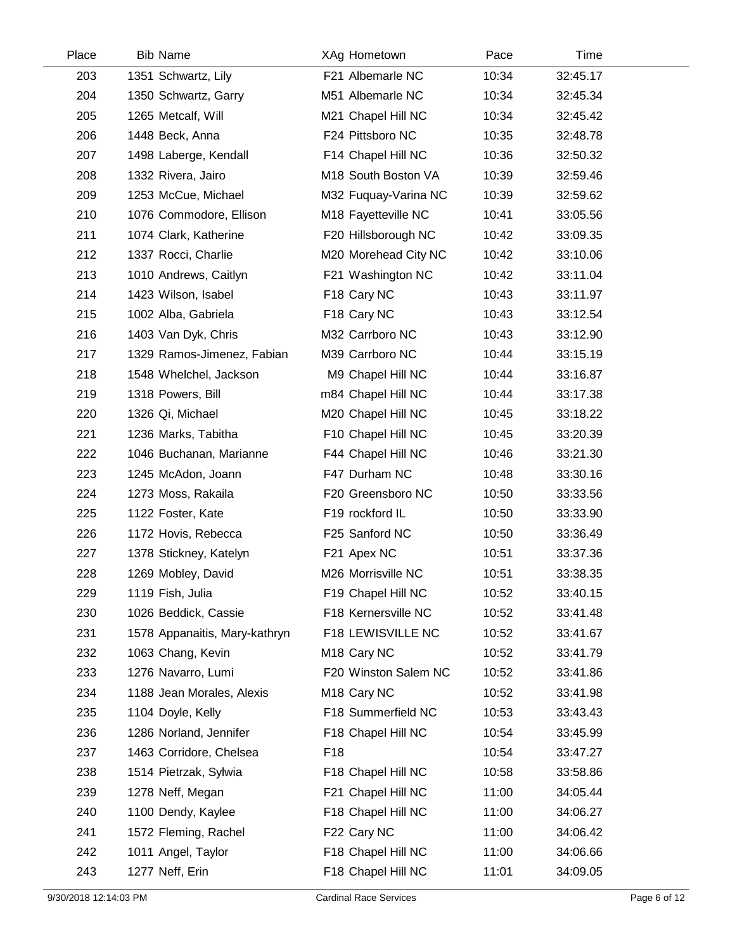| Place | <b>Bib Name</b>               | XAg Hometown            | Pace  | Time     |  |
|-------|-------------------------------|-------------------------|-------|----------|--|
| 203   | 1351 Schwartz, Lily           | F21 Albemarle NC        | 10:34 | 32:45.17 |  |
| 204   | 1350 Schwartz, Garry          | M51 Albemarle NC        | 10:34 | 32:45.34 |  |
| 205   | 1265 Metcalf, Will            | M21 Chapel Hill NC      | 10:34 | 32:45.42 |  |
| 206   | 1448 Beck, Anna               | F24 Pittsboro NC        | 10:35 | 32:48.78 |  |
| 207   | 1498 Laberge, Kendall         | F14 Chapel Hill NC      | 10:36 | 32:50.32 |  |
| 208   | 1332 Rivera, Jairo            | M18 South Boston VA     | 10:39 | 32:59.46 |  |
| 209   | 1253 McCue, Michael           | M32 Fuquay-Varina NC    | 10:39 | 32:59.62 |  |
| 210   | 1076 Commodore, Ellison       | M18 Fayetteville NC     | 10:41 | 33:05.56 |  |
| 211   | 1074 Clark, Katherine         | F20 Hillsborough NC     | 10:42 | 33:09.35 |  |
| 212   | 1337 Rocci, Charlie           | M20 Morehead City NC    | 10:42 | 33:10.06 |  |
| 213   | 1010 Andrews, Caitlyn         | F21 Washington NC       | 10:42 | 33:11.04 |  |
| 214   | 1423 Wilson, Isabel           | F18 Cary NC             | 10:43 | 33:11.97 |  |
| 215   | 1002 Alba, Gabriela           | F <sub>18</sub> Cary NC | 10:43 | 33:12.54 |  |
| 216   | 1403 Van Dyk, Chris           | M32 Carrboro NC         | 10:43 | 33:12.90 |  |
| 217   | 1329 Ramos-Jimenez, Fabian    | M39 Carrboro NC         | 10:44 | 33:15.19 |  |
| 218   | 1548 Whelchel, Jackson        | M9 Chapel Hill NC       | 10:44 | 33:16.87 |  |
| 219   | 1318 Powers, Bill             | m84 Chapel Hill NC      | 10:44 | 33:17.38 |  |
| 220   | 1326 Qi, Michael              | M20 Chapel Hill NC      | 10:45 | 33:18.22 |  |
| 221   | 1236 Marks, Tabitha           | F10 Chapel Hill NC      | 10:45 | 33:20.39 |  |
| 222   | 1046 Buchanan, Marianne       | F44 Chapel Hill NC      | 10:46 | 33:21.30 |  |
| 223   | 1245 McAdon, Joann            | F47 Durham NC           | 10:48 | 33:30.16 |  |
| 224   | 1273 Moss, Rakaila            | F20 Greensboro NC       | 10:50 | 33:33.56 |  |
| 225   | 1122 Foster, Kate             | F19 rockford IL         | 10:50 | 33:33.90 |  |
| 226   | 1172 Hovis, Rebecca           | F25 Sanford NC          | 10:50 | 33:36.49 |  |
| 227   | 1378 Stickney, Katelyn        | F21 Apex NC             | 10:51 | 33:37.36 |  |
| 228   | 1269 Mobley, David            | M26 Morrisville NC      | 10:51 | 33:38.35 |  |
| 229   | 1119 Fish, Julia              | F19 Chapel Hill NC      | 10:52 | 33:40.15 |  |
| 230   | 1026 Beddick, Cassie          | F18 Kernersville NC     | 10:52 | 33:41.48 |  |
| 231   | 1578 Appanaitis, Mary-kathryn | F18 LEWISVILLE NC       | 10:52 | 33:41.67 |  |
| 232   | 1063 Chang, Kevin             | M18 Cary NC             | 10:52 | 33:41.79 |  |
| 233   | 1276 Navarro, Lumi            | F20 Winston Salem NC    | 10:52 | 33:41.86 |  |
| 234   | 1188 Jean Morales, Alexis     | M <sub>18</sub> Cary NC | 10:52 | 33:41.98 |  |
| 235   | 1104 Doyle, Kelly             | F18 Summerfield NC      | 10:53 | 33:43.43 |  |
| 236   | 1286 Norland, Jennifer        | F18 Chapel Hill NC      | 10:54 | 33:45.99 |  |
| 237   | 1463 Corridore, Chelsea       | F <sub>18</sub>         | 10:54 | 33:47.27 |  |
| 238   | 1514 Pietrzak, Sylwia         | F18 Chapel Hill NC      | 10:58 | 33:58.86 |  |
| 239   | 1278 Neff, Megan              | F21 Chapel Hill NC      | 11:00 | 34:05.44 |  |
| 240   | 1100 Dendy, Kaylee            | F18 Chapel Hill NC      | 11:00 | 34:06.27 |  |
| 241   | 1572 Fleming, Rachel          | F22 Cary NC             | 11:00 | 34:06.42 |  |
| 242   | 1011 Angel, Taylor            | F18 Chapel Hill NC      | 11:00 | 34:06.66 |  |
| 243   | 1277 Neff, Erin               | F18 Chapel Hill NC      | 11:01 | 34:09.05 |  |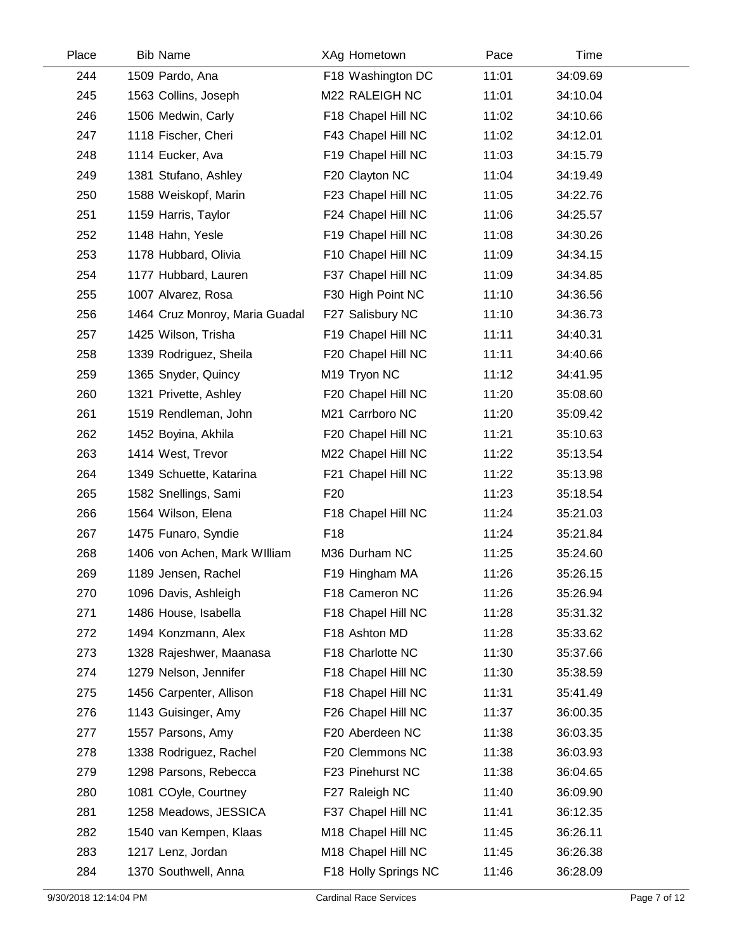| Place | <b>Bib Name</b>                | XAg Hometown         | Pace  | Time     |  |
|-------|--------------------------------|----------------------|-------|----------|--|
| 244   | 1509 Pardo, Ana                | F18 Washington DC    | 11:01 | 34:09.69 |  |
| 245   | 1563 Collins, Joseph           | M22 RALEIGH NC       | 11:01 | 34:10.04 |  |
| 246   | 1506 Medwin, Carly             | F18 Chapel Hill NC   | 11:02 | 34:10.66 |  |
| 247   | 1118 Fischer, Cheri            | F43 Chapel Hill NC   | 11:02 | 34:12.01 |  |
| 248   | 1114 Eucker, Ava               | F19 Chapel Hill NC   | 11:03 | 34:15.79 |  |
| 249   | 1381 Stufano, Ashley           | F20 Clayton NC       | 11:04 | 34:19.49 |  |
| 250   | 1588 Weiskopf, Marin           | F23 Chapel Hill NC   | 11:05 | 34:22.76 |  |
| 251   | 1159 Harris, Taylor            | F24 Chapel Hill NC   | 11:06 | 34:25.57 |  |
| 252   | 1148 Hahn, Yesle               | F19 Chapel Hill NC   | 11:08 | 34:30.26 |  |
| 253   | 1178 Hubbard, Olivia           | F10 Chapel Hill NC   | 11:09 | 34:34.15 |  |
| 254   | 1177 Hubbard, Lauren           | F37 Chapel Hill NC   | 11:09 | 34:34.85 |  |
| 255   | 1007 Alvarez, Rosa             | F30 High Point NC    | 11:10 | 34:36.56 |  |
| 256   | 1464 Cruz Monroy, Maria Guadal | F27 Salisbury NC     | 11:10 | 34:36.73 |  |
| 257   | 1425 Wilson, Trisha            | F19 Chapel Hill NC   | 11:11 | 34:40.31 |  |
| 258   | 1339 Rodriguez, Sheila         | F20 Chapel Hill NC   | 11:11 | 34:40.66 |  |
| 259   | 1365 Snyder, Quincy            | M19 Tryon NC         | 11:12 | 34:41.95 |  |
| 260   | 1321 Privette, Ashley          | F20 Chapel Hill NC   | 11:20 | 35:08.60 |  |
| 261   | 1519 Rendleman, John           | M21 Carrboro NC      | 11:20 | 35:09.42 |  |
| 262   | 1452 Boyina, Akhila            | F20 Chapel Hill NC   | 11:21 | 35:10.63 |  |
| 263   | 1414 West, Trevor              | M22 Chapel Hill NC   | 11:22 | 35:13.54 |  |
| 264   | 1349 Schuette, Katarina        | F21 Chapel Hill NC   | 11:22 | 35:13.98 |  |
| 265   | 1582 Snellings, Sami           | F <sub>20</sub>      | 11:23 | 35:18.54 |  |
| 266   | 1564 Wilson, Elena             | F18 Chapel Hill NC   | 11:24 | 35:21.03 |  |
| 267   | 1475 Funaro, Syndie            | F <sub>18</sub>      | 11:24 | 35:21.84 |  |
| 268   | 1406 von Achen, Mark William   | M36 Durham NC        | 11:25 | 35:24.60 |  |
| 269   | 1189 Jensen, Rachel            | F19 Hingham MA       | 11:26 | 35:26.15 |  |
| 270   | 1096 Davis, Ashleigh           | F18 Cameron NC       | 11:26 | 35:26.94 |  |
| 271   | 1486 House, Isabella           | F18 Chapel Hill NC   | 11:28 | 35:31.32 |  |
| 272   | 1494 Konzmann, Alex            | F18 Ashton MD        | 11:28 | 35:33.62 |  |
| 273   | 1328 Rajeshwer, Maanasa        | F18 Charlotte NC     | 11:30 | 35:37.66 |  |
| 274   | 1279 Nelson, Jennifer          | F18 Chapel Hill NC   | 11:30 | 35:38.59 |  |
| 275   | 1456 Carpenter, Allison        | F18 Chapel Hill NC   | 11:31 | 35:41.49 |  |
| 276   | 1143 Guisinger, Amy            | F26 Chapel Hill NC   | 11:37 | 36:00.35 |  |
| 277   | 1557 Parsons, Amy              | F20 Aberdeen NC      | 11:38 | 36:03.35 |  |
| 278   | 1338 Rodriguez, Rachel         | F20 Clemmons NC      | 11:38 | 36:03.93 |  |
| 279   | 1298 Parsons, Rebecca          | F23 Pinehurst NC     | 11:38 | 36:04.65 |  |
| 280   | 1081 COyle, Courtney           | F27 Raleigh NC       | 11:40 | 36:09.90 |  |
| 281   | 1258 Meadows, JESSICA          | F37 Chapel Hill NC   | 11:41 | 36:12.35 |  |
| 282   | 1540 van Kempen, Klaas         | M18 Chapel Hill NC   | 11:45 | 36:26.11 |  |
| 283   | 1217 Lenz, Jordan              | M18 Chapel Hill NC   | 11:45 | 36:26.38 |  |
| 284   | 1370 Southwell, Anna           | F18 Holly Springs NC | 11:46 | 36:28.09 |  |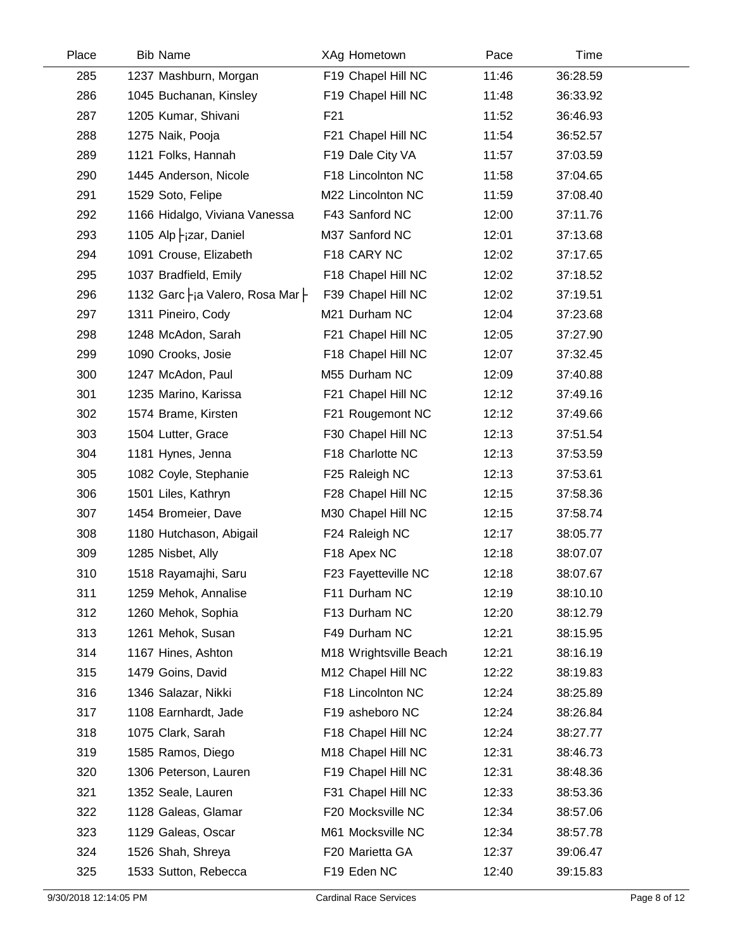| Place | <b>Bib Name</b>     |                                       | XAg Hometown           | Pace  | Time     |  |
|-------|---------------------|---------------------------------------|------------------------|-------|----------|--|
| 285   |                     | 1237 Mashburn, Morgan                 | F19 Chapel Hill NC     | 11:46 | 36:28.59 |  |
| 286   |                     | 1045 Buchanan, Kinsley                | F19 Chapel Hill NC     | 11:48 | 36:33.92 |  |
| 287   |                     | 1205 Kumar, Shivani                   | F <sub>21</sub>        | 11:52 | 36:46.93 |  |
| 288   | 1275 Naik, Pooja    |                                       | F21 Chapel Hill NC     | 11:54 | 36:52.57 |  |
| 289   |                     | 1121 Folks, Hannah                    | F19 Dale City VA       | 11:57 | 37:03.59 |  |
| 290   |                     | 1445 Anderson, Nicole                 | F18 Lincolnton NC      | 11:58 | 37:04.65 |  |
| 291   | 1529 Soto, Felipe   |                                       | M22 Lincolnton NC      | 11:59 | 37:08.40 |  |
| 292   |                     | 1166 Hidalgo, Viviana Vanessa         | F43 Sanford NC         | 12:00 | 37:11.76 |  |
| 293   |                     | 1105 Alp $-$ <sub>i</sub> zar, Daniel | M37 Sanford NC         | 12:01 | 37:13.68 |  |
| 294   |                     | 1091 Crouse, Elizabeth                | F18 CARY NC            | 12:02 | 37:17.65 |  |
| 295   |                     | 1037 Bradfield, Emily                 | F18 Chapel Hill NC     | 12:02 | 37:18.52 |  |
| 296   |                     | 1132 Garc - ja Valero, Rosa Mar       | F39 Chapel Hill NC     | 12:02 | 37:19.51 |  |
| 297   | 1311 Pineiro, Cody  |                                       | M21 Durham NC          | 12:04 | 37:23.68 |  |
| 298   |                     | 1248 McAdon, Sarah                    | F21 Chapel Hill NC     | 12:05 | 37:27.90 |  |
| 299   | 1090 Crooks, Josie  |                                       | F18 Chapel Hill NC     | 12:07 | 37:32.45 |  |
| 300   | 1247 McAdon, Paul   |                                       | M55 Durham NC          | 12:09 | 37:40.88 |  |
| 301   |                     | 1235 Marino, Karissa                  | F21 Chapel Hill NC     | 12:12 | 37:49.16 |  |
| 302   |                     | 1574 Brame, Kirsten                   | F21 Rougemont NC       | 12:12 | 37:49.66 |  |
| 303   | 1504 Lutter, Grace  |                                       | F30 Chapel Hill NC     | 12:13 | 37:51.54 |  |
| 304   | 1181 Hynes, Jenna   |                                       | F18 Charlotte NC       | 12:13 | 37:53.59 |  |
| 305   |                     | 1082 Coyle, Stephanie                 | F25 Raleigh NC         | 12:13 | 37:53.61 |  |
| 306   | 1501 Liles, Kathryn |                                       | F28 Chapel Hill NC     | 12:15 | 37:58.36 |  |
| 307   |                     | 1454 Bromeier, Dave                   | M30 Chapel Hill NC     | 12:15 | 37:58.74 |  |
| 308   |                     | 1180 Hutchason, Abigail               | F24 Raleigh NC         | 12:17 | 38:05.77 |  |
| 309   | 1285 Nisbet, Ally   |                                       | F18 Apex NC            | 12:18 | 38:07.07 |  |
| 310   |                     | 1518 Rayamajhi, Saru                  | F23 Fayetteville NC    | 12:18 | 38:07.67 |  |
| 311   |                     | 1259 Mehok, Annalise                  | F11 Durham NC          | 12:19 | 38:10.10 |  |
| 312   |                     | 1260 Mehok, Sophia                    | F13 Durham NC          | 12:20 | 38:12.79 |  |
| 313   | 1261 Mehok, Susan   |                                       | F49 Durham NC          | 12:21 | 38:15.95 |  |
| 314   | 1167 Hines, Ashton  |                                       | M18 Wrightsville Beach | 12:21 | 38:16.19 |  |
| 315   | 1479 Goins, David   |                                       | M12 Chapel Hill NC     | 12:22 | 38:19.83 |  |
| 316   | 1346 Salazar, Nikki |                                       | F18 Lincolnton NC      | 12:24 | 38:25.89 |  |
| 317   |                     | 1108 Earnhardt, Jade                  | F19 asheboro NC        | 12:24 | 38:26.84 |  |
| 318   | 1075 Clark, Sarah   |                                       | F18 Chapel Hill NC     | 12:24 | 38:27.77 |  |
| 319   | 1585 Ramos, Diego   |                                       | M18 Chapel Hill NC     | 12:31 | 38:46.73 |  |
| 320   |                     | 1306 Peterson, Lauren                 | F19 Chapel Hill NC     | 12:31 | 38:48.36 |  |
| 321   | 1352 Seale, Lauren  |                                       | F31 Chapel Hill NC     | 12:33 | 38:53.36 |  |
| 322   |                     | 1128 Galeas, Glamar                   | F20 Mocksville NC      | 12:34 | 38:57.06 |  |
| 323   | 1129 Galeas, Oscar  |                                       | M61 Mocksville NC      | 12:34 | 38:57.78 |  |
| 324   | 1526 Shah, Shreya   |                                       | F20 Marietta GA        | 12:37 | 39:06.47 |  |
| 325   |                     | 1533 Sutton, Rebecca                  | F19 Eden NC            | 12:40 | 39:15.83 |  |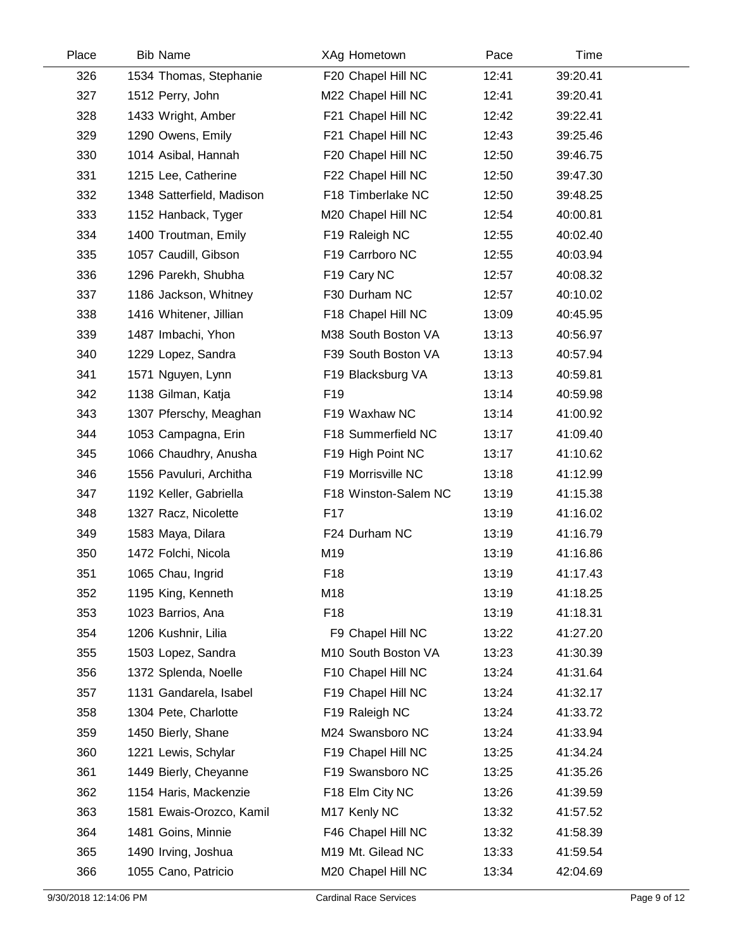| Place | <b>Bib Name</b>           | XAg Hometown         | Pace  | Time     |  |
|-------|---------------------------|----------------------|-------|----------|--|
| 326   | 1534 Thomas, Stephanie    | F20 Chapel Hill NC   | 12:41 | 39:20.41 |  |
| 327   | 1512 Perry, John          | M22 Chapel Hill NC   | 12:41 | 39:20.41 |  |
| 328   | 1433 Wright, Amber        | F21 Chapel Hill NC   | 12:42 | 39:22.41 |  |
| 329   | 1290 Owens, Emily         | F21 Chapel Hill NC   | 12:43 | 39:25.46 |  |
| 330   | 1014 Asibal, Hannah       | F20 Chapel Hill NC   | 12:50 | 39:46.75 |  |
| 331   | 1215 Lee, Catherine       | F22 Chapel Hill NC   | 12:50 | 39:47.30 |  |
| 332   | 1348 Satterfield, Madison | F18 Timberlake NC    | 12:50 | 39:48.25 |  |
| 333   | 1152 Hanback, Tyger       | M20 Chapel Hill NC   | 12:54 | 40:00.81 |  |
| 334   | 1400 Troutman, Emily      | F19 Raleigh NC       | 12:55 | 40:02.40 |  |
| 335   | 1057 Caudill, Gibson      | F19 Carrboro NC      | 12:55 | 40:03.94 |  |
| 336   | 1296 Parekh, Shubha       | F19 Cary NC          | 12:57 | 40:08.32 |  |
| 337   | 1186 Jackson, Whitney     | F30 Durham NC        | 12:57 | 40:10.02 |  |
| 338   | 1416 Whitener, Jillian    | F18 Chapel Hill NC   | 13:09 | 40:45.95 |  |
| 339   | 1487 Imbachi, Yhon        | M38 South Boston VA  | 13:13 | 40:56.97 |  |
| 340   | 1229 Lopez, Sandra        | F39 South Boston VA  | 13:13 | 40:57.94 |  |
| 341   | 1571 Nguyen, Lynn         | F19 Blacksburg VA    | 13:13 | 40:59.81 |  |
| 342   | 1138 Gilman, Katja        | F <sub>19</sub>      | 13:14 | 40:59.98 |  |
| 343   | 1307 Pferschy, Meaghan    | F19 Waxhaw NC        | 13:14 | 41:00.92 |  |
| 344   | 1053 Campagna, Erin       | F18 Summerfield NC   | 13:17 | 41:09.40 |  |
| 345   | 1066 Chaudhry, Anusha     | F19 High Point NC    | 13:17 | 41:10.62 |  |
| 346   | 1556 Pavuluri, Architha   | F19 Morrisville NC   | 13:18 | 41:12.99 |  |
| 347   | 1192 Keller, Gabriella    | F18 Winston-Salem NC | 13:19 | 41:15.38 |  |
| 348   | 1327 Racz, Nicolette      | F <sub>17</sub>      | 13:19 | 41:16.02 |  |
| 349   | 1583 Maya, Dilara         | F24 Durham NC        | 13:19 | 41:16.79 |  |
| 350   | 1472 Folchi, Nicola       | M19                  | 13:19 | 41:16.86 |  |
| 351   | 1065 Chau, Ingrid         | F18                  | 13:19 | 41:17.43 |  |
| 352   | 1195 King, Kenneth        | M18                  | 13:19 | 41:18.25 |  |
| 353   | 1023 Barrios, Ana         | F <sub>18</sub>      | 13:19 | 41:18.31 |  |
| 354   | 1206 Kushnir, Lilia       | F9 Chapel Hill NC    | 13:22 | 41:27.20 |  |
| 355   | 1503 Lopez, Sandra        | M10 South Boston VA  | 13:23 | 41:30.39 |  |
| 356   | 1372 Splenda, Noelle      | F10 Chapel Hill NC   | 13:24 | 41:31.64 |  |
| 357   | 1131 Gandarela, Isabel    | F19 Chapel Hill NC   | 13:24 | 41:32.17 |  |
| 358   | 1304 Pete, Charlotte      | F19 Raleigh NC       | 13:24 | 41:33.72 |  |
| 359   | 1450 Bierly, Shane        | M24 Swansboro NC     | 13:24 | 41:33.94 |  |
| 360   | 1221 Lewis, Schylar       | F19 Chapel Hill NC   | 13:25 | 41:34.24 |  |
| 361   | 1449 Bierly, Cheyanne     | F19 Swansboro NC     | 13:25 | 41:35.26 |  |
| 362   | 1154 Haris, Mackenzie     | F18 Elm City NC      | 13:26 | 41:39.59 |  |
| 363   | 1581 Ewais-Orozco, Kamil  | M17 Kenly NC         | 13:32 | 41:57.52 |  |
| 364   | 1481 Goins, Minnie        | F46 Chapel Hill NC   | 13:32 | 41:58.39 |  |
| 365   | 1490 Irving, Joshua       | M19 Mt. Gilead NC    | 13:33 | 41:59.54 |  |
| 366   | 1055 Cano, Patricio       | M20 Chapel Hill NC   | 13:34 | 42:04.69 |  |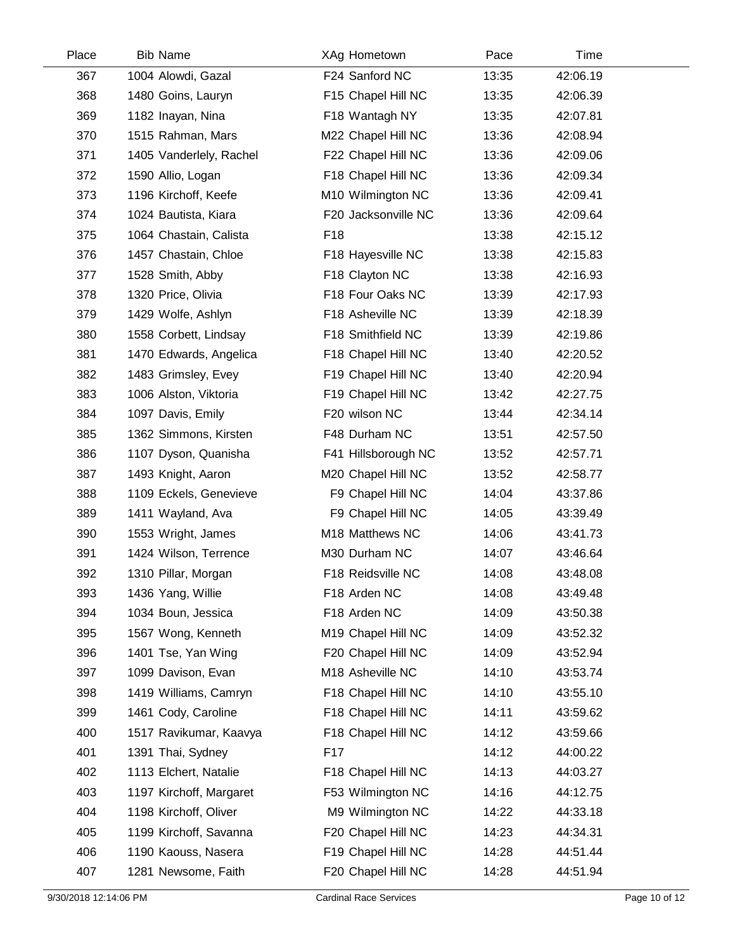| Place | <b>Bib Name</b>         | XAg Hometown        | Pace  | Time     |  |
|-------|-------------------------|---------------------|-------|----------|--|
| 367   | 1004 Alowdi, Gazal      | F24 Sanford NC      | 13:35 | 42:06.19 |  |
| 368   | 1480 Goins, Lauryn      | F15 Chapel Hill NC  | 13:35 | 42:06.39 |  |
| 369   | 1182 Inayan, Nina       | F18 Wantagh NY      | 13:35 | 42:07.81 |  |
| 370   | 1515 Rahman, Mars       | M22 Chapel Hill NC  | 13:36 | 42:08.94 |  |
| 371   | 1405 Vanderlely, Rachel | F22 Chapel Hill NC  | 13:36 | 42:09.06 |  |
| 372   | 1590 Allio, Logan       | F18 Chapel Hill NC  | 13:36 | 42:09.34 |  |
| 373   | 1196 Kirchoff, Keefe    | M10 Wilmington NC   | 13:36 | 42:09.41 |  |
| 374   | 1024 Bautista, Kiara    | F20 Jacksonville NC | 13:36 | 42:09.64 |  |
| 375   | 1064 Chastain, Calista  | F <sub>18</sub>     | 13:38 | 42:15.12 |  |
| 376   | 1457 Chastain, Chloe    | F18 Hayesville NC   | 13:38 | 42:15.83 |  |
| 377   | 1528 Smith, Abby        | F18 Clayton NC      | 13:38 | 42:16.93 |  |
| 378   | 1320 Price, Olivia      | F18 Four Oaks NC    | 13:39 | 42:17.93 |  |
| 379   | 1429 Wolfe, Ashlyn      | F18 Asheville NC    | 13:39 | 42:18.39 |  |
| 380   | 1558 Corbett, Lindsay   | F18 Smithfield NC   | 13:39 | 42:19.86 |  |
| 381   | 1470 Edwards, Angelica  | F18 Chapel Hill NC  | 13:40 | 42:20.52 |  |
| 382   | 1483 Grimsley, Evey     | F19 Chapel Hill NC  | 13:40 | 42:20.94 |  |
| 383   | 1006 Alston, Viktoria   | F19 Chapel Hill NC  | 13:42 | 42:27.75 |  |
| 384   | 1097 Davis, Emily       | F20 wilson NC       | 13:44 | 42:34.14 |  |
| 385   | 1362 Simmons, Kirsten   | F48 Durham NC       | 13:51 | 42:57.50 |  |
| 386   | 1107 Dyson, Quanisha    | F41 Hillsborough NC | 13:52 | 42:57.71 |  |
| 387   | 1493 Knight, Aaron      | M20 Chapel Hill NC  | 13:52 | 42:58.77 |  |
| 388   | 1109 Eckels, Genevieve  | F9 Chapel Hill NC   | 14:04 | 43:37.86 |  |
| 389   | 1411 Wayland, Ava       | F9 Chapel Hill NC   | 14:05 | 43:39.49 |  |
| 390   | 1553 Wright, James      | M18 Matthews NC     | 14:06 | 43:41.73 |  |
| 391   | 1424 Wilson, Terrence   | M30 Durham NC       | 14:07 | 43:46.64 |  |
| 392   | 1310 Pillar, Morgan     | F18 Reidsville NC   | 14:08 | 43:48.08 |  |
| 393   | 1436 Yang, Willie       | F18 Arden NC        | 14:08 | 43:49.48 |  |
| 394   | 1034 Boun, Jessica      | F18 Arden NC        | 14:09 | 43:50.38 |  |
| 395   | 1567 Wong, Kenneth      | M19 Chapel Hill NC  | 14:09 | 43:52.32 |  |
| 396   | 1401 Tse, Yan Wing      | F20 Chapel Hill NC  | 14:09 | 43:52.94 |  |
| 397   | 1099 Davison, Evan      | M18 Asheville NC    | 14:10 | 43:53.74 |  |
| 398   | 1419 Williams, Camryn   | F18 Chapel Hill NC  | 14:10 | 43:55.10 |  |
| 399   | 1461 Cody, Caroline     | F18 Chapel Hill NC  | 14:11 | 43:59.62 |  |
| 400   | 1517 Ravikumar, Kaavya  | F18 Chapel Hill NC  | 14:12 | 43:59.66 |  |
| 401   | 1391 Thai, Sydney       | F <sub>17</sub>     | 14:12 | 44:00.22 |  |
| 402   | 1113 Elchert, Natalie   | F18 Chapel Hill NC  | 14:13 | 44:03.27 |  |
| 403   | 1197 Kirchoff, Margaret | F53 Wilmington NC   | 14:16 | 44:12.75 |  |
| 404   | 1198 Kirchoff, Oliver   | M9 Wilmington NC    | 14:22 | 44:33.18 |  |
| 405   | 1199 Kirchoff, Savanna  | F20 Chapel Hill NC  | 14:23 | 44:34.31 |  |
| 406   | 1190 Kaouss, Nasera     | F19 Chapel Hill NC  | 14:28 | 44:51.44 |  |
| 407   | 1281 Newsome, Faith     | F20 Chapel Hill NC  | 14:28 | 44:51.94 |  |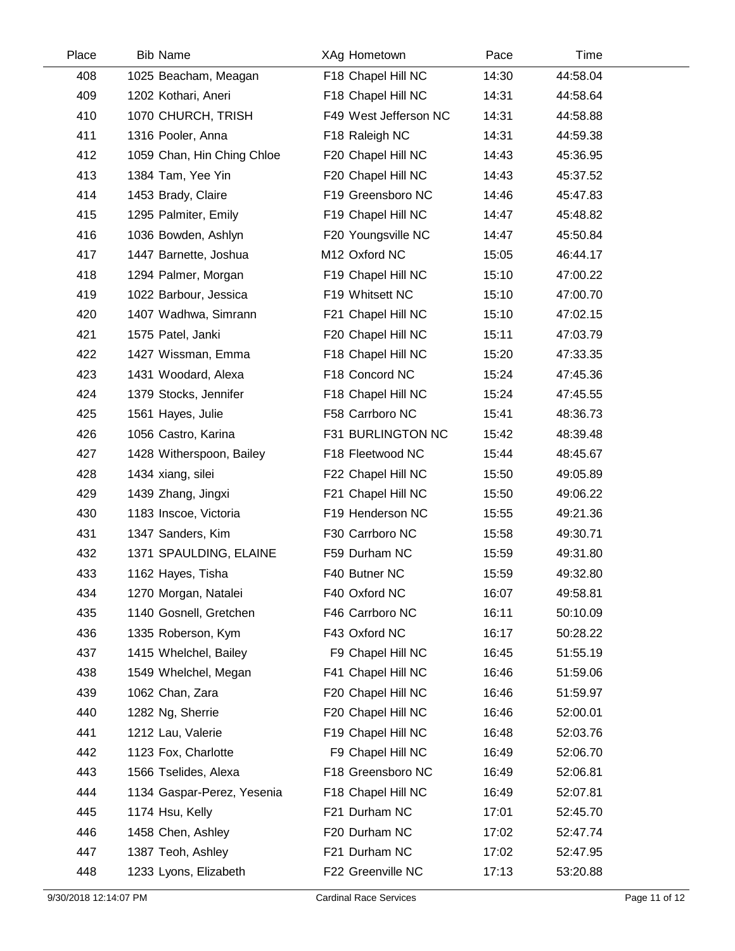| Place | <b>Bib Name</b>            | XAg Hometown          | Pace  | Time     |  |
|-------|----------------------------|-----------------------|-------|----------|--|
| 408   | 1025 Beacham, Meagan       | F18 Chapel Hill NC    | 14:30 | 44:58.04 |  |
| 409   | 1202 Kothari, Aneri        | F18 Chapel Hill NC    | 14:31 | 44:58.64 |  |
| 410   | 1070 CHURCH, TRISH         | F49 West Jefferson NC | 14:31 | 44:58.88 |  |
| 411   | 1316 Pooler, Anna          | F18 Raleigh NC        | 14:31 | 44:59.38 |  |
| 412   | 1059 Chan, Hin Ching Chloe | F20 Chapel Hill NC    | 14:43 | 45:36.95 |  |
| 413   | 1384 Tam, Yee Yin          | F20 Chapel Hill NC    | 14:43 | 45:37.52 |  |
| 414   | 1453 Brady, Claire         | F19 Greensboro NC     | 14:46 | 45:47.83 |  |
| 415   | 1295 Palmiter, Emily       | F19 Chapel Hill NC    | 14:47 | 45:48.82 |  |
| 416   | 1036 Bowden, Ashlyn        | F20 Youngsville NC    | 14:47 | 45:50.84 |  |
| 417   | 1447 Barnette, Joshua      | M12 Oxford NC         | 15:05 | 46:44.17 |  |
| 418   | 1294 Palmer, Morgan        | F19 Chapel Hill NC    | 15:10 | 47:00.22 |  |
| 419   | 1022 Barbour, Jessica      | F19 Whitsett NC       | 15:10 | 47:00.70 |  |
| 420   | 1407 Wadhwa, Simrann       | F21 Chapel Hill NC    | 15:10 | 47:02.15 |  |
| 421   | 1575 Patel, Janki          | F20 Chapel Hill NC    | 15:11 | 47:03.79 |  |
| 422   | 1427 Wissman, Emma         | F18 Chapel Hill NC    | 15:20 | 47:33.35 |  |
| 423   | 1431 Woodard, Alexa        | F18 Concord NC        | 15:24 | 47:45.36 |  |
| 424   | 1379 Stocks, Jennifer      | F18 Chapel Hill NC    | 15:24 | 47:45.55 |  |
| 425   | 1561 Hayes, Julie          | F58 Carrboro NC       | 15:41 | 48:36.73 |  |
| 426   | 1056 Castro, Karina        | F31 BURLINGTON NC     | 15:42 | 48:39.48 |  |
| 427   | 1428 Witherspoon, Bailey   | F18 Fleetwood NC      | 15:44 | 48:45.67 |  |
| 428   | 1434 xiang, silei          | F22 Chapel Hill NC    | 15:50 | 49:05.89 |  |
| 429   | 1439 Zhang, Jingxi         | F21 Chapel Hill NC    | 15:50 | 49:06.22 |  |
| 430   | 1183 Inscoe, Victoria      | F19 Henderson NC      | 15:55 | 49:21.36 |  |
| 431   | 1347 Sanders, Kim          | F30 Carrboro NC       | 15:58 | 49:30.71 |  |
| 432   | 1371 SPAULDING, ELAINE     | F59 Durham NC         | 15:59 | 49:31.80 |  |
| 433   | 1162 Hayes, Tisha          | F40 Butner NC         | 15:59 | 49:32.80 |  |
| 434   | 1270 Morgan, Natalei       | F40 Oxford NC         | 16:07 | 49:58.81 |  |
| 435   | 1140 Gosnell, Gretchen     | F46 Carrboro NC       | 16:11 | 50:10.09 |  |
| 436   | 1335 Roberson, Kym         | F43 Oxford NC         | 16:17 | 50:28.22 |  |
| 437   | 1415 Whelchel, Bailey      | F9 Chapel Hill NC     | 16:45 | 51:55.19 |  |
| 438   | 1549 Whelchel, Megan       | F41 Chapel Hill NC    | 16:46 | 51:59.06 |  |
| 439   | 1062 Chan, Zara            | F20 Chapel Hill NC    | 16:46 | 51:59.97 |  |
| 440   | 1282 Ng, Sherrie           | F20 Chapel Hill NC    | 16:46 | 52:00.01 |  |
| 441   | 1212 Lau, Valerie          | F19 Chapel Hill NC    | 16:48 | 52:03.76 |  |
| 442   | 1123 Fox, Charlotte        | F9 Chapel Hill NC     | 16:49 | 52:06.70 |  |
| 443   | 1566 Tselides, Alexa       | F18 Greensboro NC     | 16:49 | 52:06.81 |  |
| 444   | 1134 Gaspar-Perez, Yesenia | F18 Chapel Hill NC    | 16:49 | 52:07.81 |  |
| 445   | 1174 Hsu, Kelly            | F21 Durham NC         | 17:01 | 52:45.70 |  |
| 446   | 1458 Chen, Ashley          | F20 Durham NC         | 17:02 | 52:47.74 |  |
| 447   | 1387 Teoh, Ashley          | F21 Durham NC         | 17:02 | 52:47.95 |  |
| 448   | 1233 Lyons, Elizabeth      | F22 Greenville NC     | 17:13 | 53:20.88 |  |